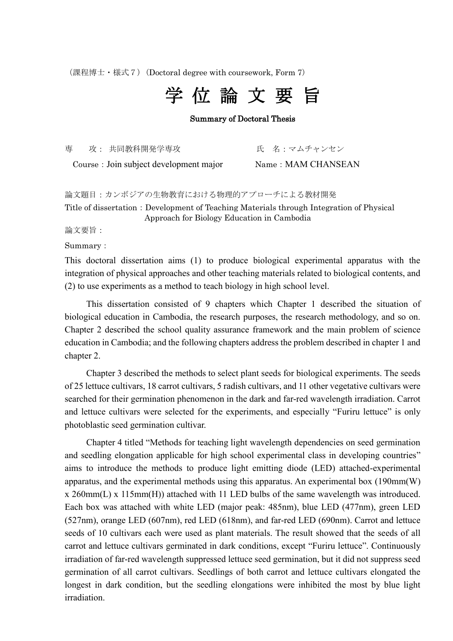(課程博士・様式7)(Doctoral degree with coursework, Form 7)



## Summary of Doctoral Thesis

専 攻: 共同教科開発学専攻 氏 名:マムチャンセン

Course: Join subject development major Name: MAM CHANSEAN

論文題目:カンボジアの生物教育における物理的アプローチによる教材開発

Title of dissertation: Development of Teaching Materials through Integration of Physical Approach for Biology Education in Cambodia

論文要旨:

Summary:

This doctoral dissertation aims (1) to produce biological experimental apparatus with the integration of physical approaches and other teaching materials related to biological contents, and (2) to use experiments as a method to teach biology in high school level.

This dissertation consisted of 9 chapters which Chapter 1 described the situation of biological education in Cambodia, the research purposes, the research methodology, and so on. Chapter 2 described the school quality assurance framework and the main problem of science education in Cambodia; and the following chapters address the problem described in chapter 1 and chapter 2.

Chapter 3 described the methods to select plant seeds for biological experiments. The seeds of 25 lettuce cultivars, 18 carrot cultivars, 5 radish cultivars, and 11 other vegetative cultivars were searched for their germination phenomenon in the dark and far-red wavelength irradiation. Carrot and lettuce cultivars were selected for the experiments, and especially "Furiru lettuce" is only photoblastic seed germination cultivar.

Chapter 4 titled "Methods for teaching light wavelength dependencies on seed germination and seedling elongation applicable for high school experimental class in developing countries" aims to introduce the methods to produce light emitting diode (LED) attached-experimental apparatus, and the experimental methods using this apparatus. An experimental box (190mm(W) x 260mm(L) x 115mm(H)) attached with 11 LED bulbs of the same wavelength was introduced. Each box was attached with white LED (major peak: 485nm), blue LED (477nm), green LED (527nm), orange LED (607nm), red LED (618nm), and far-red LED (690nm). Carrot and lettuce seeds of 10 cultivars each were used as plant materials. The result showed that the seeds of all carrot and lettuce cultivars germinated in dark conditions, except "Furiru lettuce". Continuously irradiation of far-red wavelength suppressed lettuce seed germination, but it did not suppress seed germination of all carrot cultivars. Seedlings of both carrot and lettuce cultivars elongated the longest in dark condition, but the seedling elongations were inhibited the most by blue light irradiation.